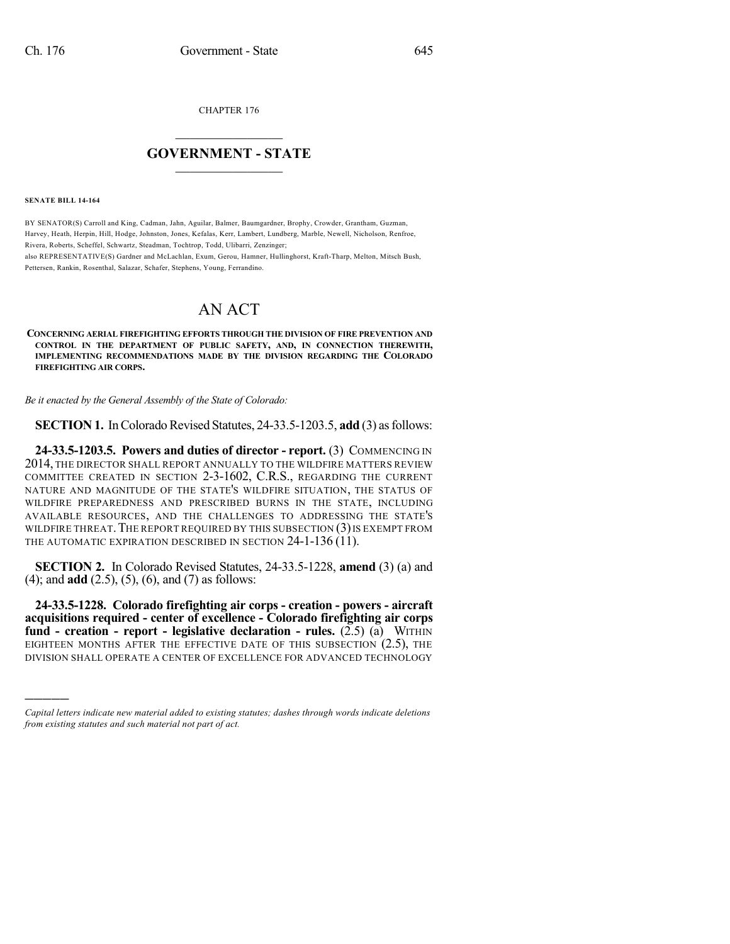CHAPTER 176

## $\mathcal{L}_\text{max}$  . The set of the set of the set of the set of the set of the set of the set of the set of the set of the set of the set of the set of the set of the set of the set of the set of the set of the set of the set **GOVERNMENT - STATE**  $\_$   $\_$   $\_$   $\_$   $\_$   $\_$   $\_$   $\_$   $\_$

**SENATE BILL 14-164**

)))))

BY SENATOR(S) Carroll and King, Cadman, Jahn, Aguilar, Balmer, Baumgardner, Brophy, Crowder, Grantham, Guzman, Harvey, Heath, Herpin, Hill, Hodge, Johnston, Jones, Kefalas, Kerr, Lambert, Lundberg, Marble, Newell, Nicholson, Renfroe, Rivera, Roberts, Scheffel, Schwartz, Steadman, Tochtrop, Todd, Ulibarri, Zenzinger; also REPRESENTATIVE(S) Gardner and McLachlan, Exum, Gerou, Hamner, Hullinghorst, Kraft-Tharp, Melton, Mitsch Bush, Pettersen, Rankin, Rosenthal, Salazar, Schafer, Stephens, Young, Ferrandino.

## AN ACT

**CONCERNING AERIAL FIREFIGHTING EFFORTS THROUGH THE DIVISION OF FIRE PREVENTION AND CONTROL IN THE DEPARTMENT OF PUBLIC SAFETY, AND, IN CONNECTION THEREWITH, IMPLEMENTING RECOMMENDATIONS MADE BY THE DIVISION REGARDING THE COLORADO FIREFIGHTING AIR CORPS.**

*Be it enacted by the General Assembly of the State of Colorado:*

**SECTION 1.** In Colorado Revised Statutes, 24-33.5-1203.5, add (3) as follows:

**24-33.5-1203.5. Powers and duties of director - report.** (3) COMMENCING IN 2014, THE DIRECTOR SHALL REPORT ANNUALLY TO THE WILDFIRE MATTERS REVIEW COMMITTEE CREATED IN SECTION 2-3-1602, C.R.S., REGARDING THE CURRENT NATURE AND MAGNITUDE OF THE STATE'S WILDFIRE SITUATION, THE STATUS OF WILDFIRE PREPAREDNESS AND PRESCRIBED BURNS IN THE STATE, INCLUDING AVAILABLE RESOURCES, AND THE CHALLENGES TO ADDRESSING THE STATE'S WILDFIRE THREAT. THE REPORT REQUIRED BY THIS SUBSECTION  $(3)$  is exempt from THE AUTOMATIC EXPIRATION DESCRIBED IN SECTION 24-1-136 (11).

**SECTION 2.** In Colorado Revised Statutes, 24-33.5-1228, **amend** (3) (a) and (4); and **add** (2.5), (5), (6), and (7) as follows:

**24-33.5-1228. Colorado firefighting air corps - creation - powers - aircraft acquisitions required - center of excellence - Colorado firefighting air corps fund - creation - report - legislative declaration - rules.** (2.5) (a) WITHIN EIGHTEEN MONTHS AFTER THE EFFECTIVE DATE OF THIS SUBSECTION  $(2.5)$ , the DIVISION SHALL OPERATE A CENTER OF EXCELLENCE FOR ADVANCED TECHNOLOGY

*Capital letters indicate new material added to existing statutes; dashes through words indicate deletions from existing statutes and such material not part of act.*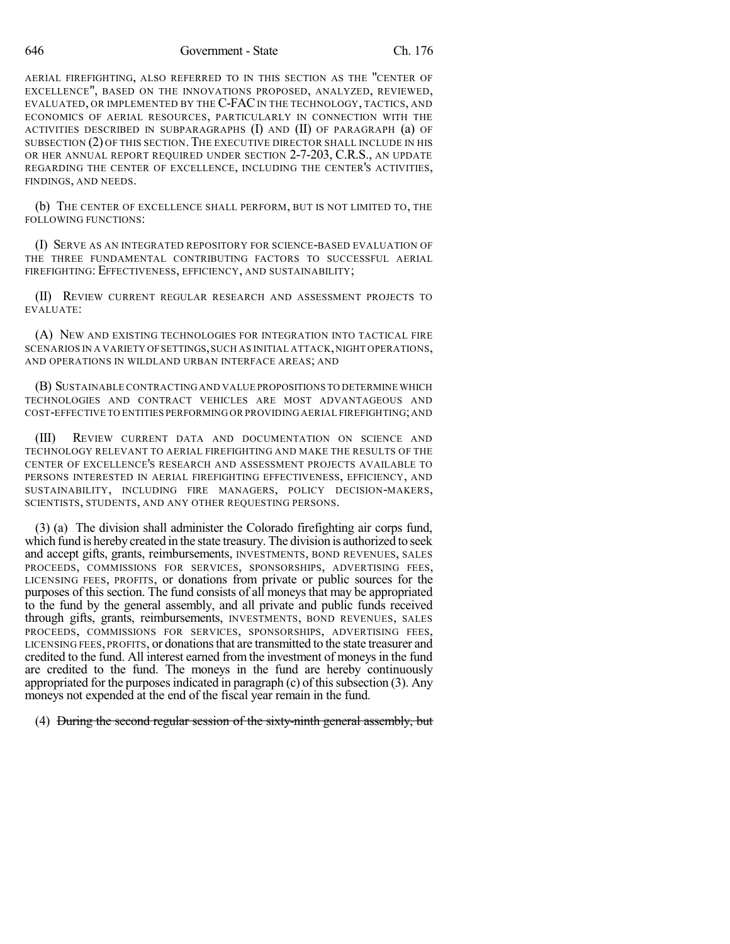646 Government - State Ch. 176

AERIAL FIREFIGHTING, ALSO REFERRED TO IN THIS SECTION AS THE "CENTER OF EXCELLENCE", BASED ON THE INNOVATIONS PROPOSED, ANALYZED, REVIEWED, EVALUATED, OR IMPLEMENTED BY THE C-FACIN THE TECHNOLOGY, TACTICS, AND ECONOMICS OF AERIAL RESOURCES, PARTICULARLY IN CONNECTION WITH THE ACTIVITIES DESCRIBED IN SUBPARAGRAPHS (I) AND (II) OF PARAGRAPH (a) OF SUBSECTION (2) OF THIS SECTION. THE EXECUTIVE DIRECTOR SHALL INCLUDE IN HIS OR HER ANNUAL REPORT REQUIRED UNDER SECTION 2-7-203, C.R.S., AN UPDATE REGARDING THE CENTER OF EXCELLENCE, INCLUDING THE CENTER'S ACTIVITIES, FINDINGS, AND NEEDS.

(b) THE CENTER OF EXCELLENCE SHALL PERFORM, BUT IS NOT LIMITED TO, THE FOLLOWING FUNCTIONS:

(I) SERVE AS AN INTEGRATED REPOSITORY FOR SCIENCE-BASED EVALUATION OF THE THREE FUNDAMENTAL CONTRIBUTING FACTORS TO SUCCESSFUL AERIAL FIREFIGHTING: EFFECTIVENESS, EFFICIENCY, AND SUSTAINABILITY;

(II) REVIEW CURRENT REGULAR RESEARCH AND ASSESSMENT PROJECTS TO EVALUATE:

(A) NEW AND EXISTING TECHNOLOGIES FOR INTEGRATION INTO TACTICAL FIRE SCENARIOS IN A VARIETY OF SETTINGS, SUCH AS INITIAL ATTACK, NIGHT OPERATIONS, AND OPERATIONS IN WILDLAND URBAN INTERFACE AREAS; AND

(B) SUSTAINABLE CONTRACTING AND VALUE PROPOSITIONS TO DETERMINE WHICH TECHNOLOGIES AND CONTRACT VEHICLES ARE MOST ADVANTAGEOUS AND COST-EFFECTIVE TO ENTITIES PERFORMING OR PROVIDING AERIAL FIREFIGHTING;AND

(III) REVIEW CURRENT DATA AND DOCUMENTATION ON SCIENCE AND TECHNOLOGY RELEVANT TO AERIAL FIREFIGHTING AND MAKE THE RESULTS OF THE CENTER OF EXCELLENCE'S RESEARCH AND ASSESSMENT PROJECTS AVAILABLE TO PERSONS INTERESTED IN AERIAL FIREFIGHTING EFFECTIVENESS, EFFICIENCY, AND SUSTAINABILITY, INCLUDING FIRE MANAGERS, POLICY DECISION-MAKERS, SCIENTISTS, STUDENTS, AND ANY OTHER REQUESTING PERSONS.

(3) (a) The division shall administer the Colorado firefighting air corps fund, which fund is hereby created in the state treasury. The division is authorized to seek and accept gifts, grants, reimbursements, INVESTMENTS, BOND REVENUES, SALES PROCEEDS, COMMISSIONS FOR SERVICES, SPONSORSHIPS, ADVERTISING FEES, LICENSING FEES, PROFITS, or donations from private or public sources for the purposes of this section. The fund consists of all moneys that may be appropriated to the fund by the general assembly, and all private and public funds received through gifts, grants, reimbursements, INVESTMENTS, BOND REVENUES, SALES PROCEEDS, COMMISSIONS FOR SERVICES, SPONSORSHIPS, ADVERTISING FEES, LICENSING FEES, PROFITS, or donationsthat are transmitted to the state treasurer and credited to the fund. All interest earned from the investment of moneys in the fund are credited to the fund. The moneys in the fund are hereby continuously appropriated for the purposes indicated in paragraph  $(c)$  of this subsection  $(3)$ . Any moneys not expended at the end of the fiscal year remain in the fund.

(4) During the second regular session of the sixty-ninth general assembly, but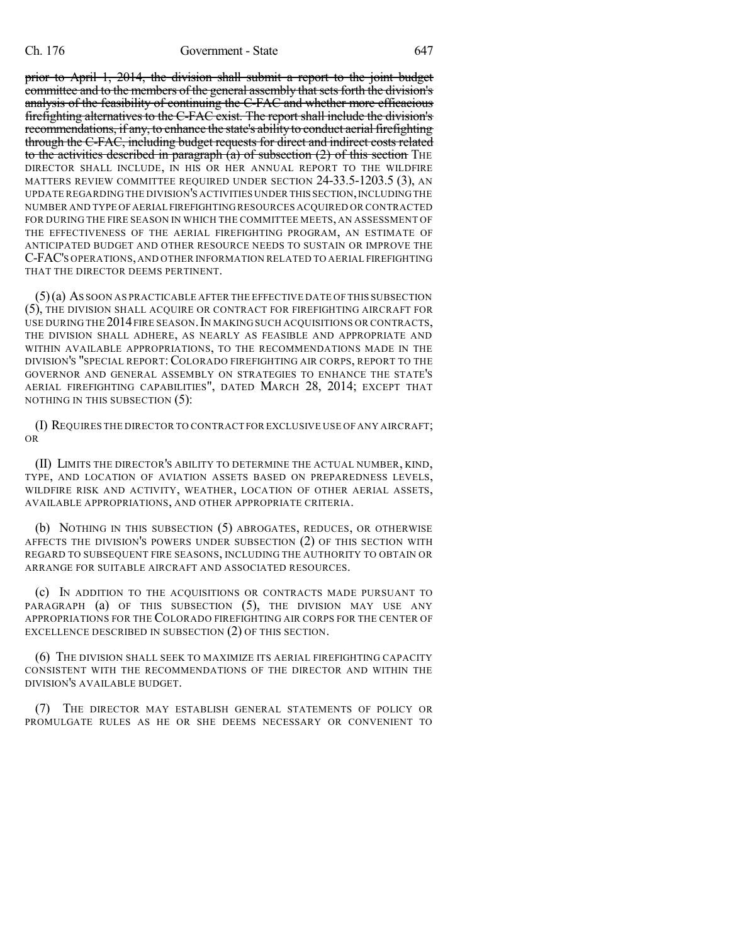prior to April 1, 2014, the division shall submit a report to the joint budget committee and to the members of the general assembly that sets forth the division's analysis of the feasibility of continuing the C-FAC and whether more efficacious firefighting alternatives to the C-FAC exist. The report shall include the division's recommendations, if any, to enhance the state's ability to conduct aerial firefighting through the C-FAC, including budget requests for direct and indirect costs related to the activities described in paragraph (a) of subsection  $(2)$  of this section THE DIRECTOR SHALL INCLUDE, IN HIS OR HER ANNUAL REPORT TO THE WILDFIRE MATTERS REVIEW COMMITTEE REQUIRED UNDER SECTION 24-33.5-1203.5 (3), AN UPDATE REGARDING THE DIVISION'S ACTIVITIES UNDER THIS SECTION,INCLUDINGTHE NUMBER AND TYPE OFAERIAL FIREFIGHTING RESOURCES ACQUIRED OR CONTRACTED FOR DURING THE FIRE SEASON IN WHICH THE COMMITTEE MEETS, AN ASSESSMENT OF THE EFFECTIVENESS OF THE AERIAL FIREFIGHTING PROGRAM, AN ESTIMATE OF ANTICIPATED BUDGET AND OTHER RESOURCE NEEDS TO SUSTAIN OR IMPROVE THE C-FAC'S OPERATIONS,AND OTHER INFORMATION RELATED TO AERIAL FIREFIGHTING THAT THE DIRECTOR DEEMS PERTINENT.

(5)(a) AS SOON AS PRACTICABLE AFTER THE EFFECTIVE DATE OF THIS SUBSECTION (5), THE DIVISION SHALL ACQUIRE OR CONTRACT FOR FIREFIGHTING AIRCRAFT FOR USE DURING THE 2014 FIRE SEASON.IN MAKING SUCH ACQUISITIONS OR CONTRACTS, THE DIVISION SHALL ADHERE, AS NEARLY AS FEASIBLE AND APPROPRIATE AND WITHIN AVAILABLE APPROPRIATIONS, TO THE RECOMMENDATIONS MADE IN THE DIVISION'S "SPECIAL REPORT:COLORADO FIREFIGHTING AIR CORPS, REPORT TO THE GOVERNOR AND GENERAL ASSEMBLY ON STRATEGIES TO ENHANCE THE STATE'S AERIAL FIREFIGHTING CAPABILITIES", DATED MARCH 28, 2014; EXCEPT THAT NOTHING IN THIS SUBSECTION (5):

(I) REQUIRES THE DIRECTOR TO CONTRACT FOR EXCLUSIVE USE OF ANY AIRCRAFT; OR

(II) LIMITS THE DIRECTOR'S ABILITY TO DETERMINE THE ACTUAL NUMBER, KIND, TYPE, AND LOCATION OF AVIATION ASSETS BASED ON PREPAREDNESS LEVELS, WILDFIRE RISK AND ACTIVITY, WEATHER, LOCATION OF OTHER AERIAL ASSETS, AVAILABLE APPROPRIATIONS, AND OTHER APPROPRIATE CRITERIA.

(b) NOTHING IN THIS SUBSECTION (5) ABROGATES, REDUCES, OR OTHERWISE AFFECTS THE DIVISION'S POWERS UNDER SUBSECTION (2) OF THIS SECTION WITH REGARD TO SUBSEQUENT FIRE SEASONS, INCLUDING THE AUTHORITY TO OBTAIN OR ARRANGE FOR SUITABLE AIRCRAFT AND ASSOCIATED RESOURCES.

(c) IN ADDITION TO THE ACQUISITIONS OR CONTRACTS MADE PURSUANT TO PARAGRAPH (a) OF THIS SUBSECTION (5), THE DIVISION MAY USE ANY APPROPRIATIONS FOR THE COLORADO FIREFIGHTING AIR CORPS FOR THE CENTER OF EXCELLENCE DESCRIBED IN SUBSECTION (2) OF THIS SECTION.

(6) THE DIVISION SHALL SEEK TO MAXIMIZE ITS AERIAL FIREFIGHTING CAPACITY CONSISTENT WITH THE RECOMMENDATIONS OF THE DIRECTOR AND WITHIN THE DIVISION'S AVAILABLE BUDGET.

(7) THE DIRECTOR MAY ESTABLISH GENERAL STATEMENTS OF POLICY OR PROMULGATE RULES AS HE OR SHE DEEMS NECESSARY OR CONVENIENT TO